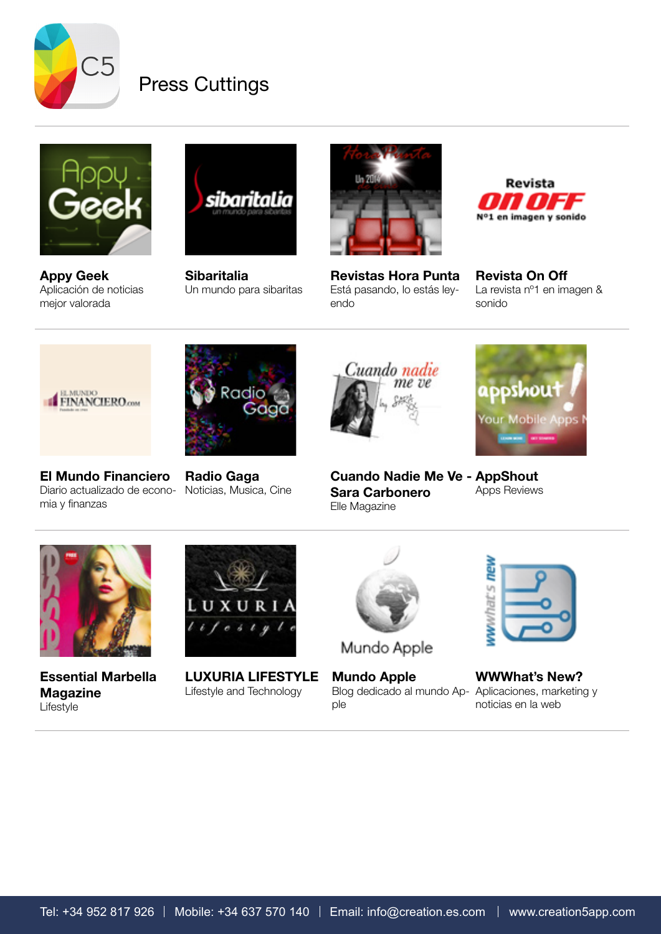

## Press Cuttings



[Appy Geek](http://www.appy-geek.com/Web/ArticleWeb.aspx%3Fregionid%3D8%26articleid%3D18493559%26m%3Dd) [Aplicación de noticias](http://www.appy-geek.com/Web/ArticleWeb.aspx%3Fregionid%3D8%26articleid%3D18493559%26m%3Dd)  [mejor valorada](http://www.appy-geek.com/Web/ArticleWeb.aspx%3Fregionid%3D8%26articleid%3D18493559%26m%3Dd)



**[Sibaritalia](http://www.sibaritalia.com/blog/2014/02/creation-5-el-mediaplayer-de-los-sibaritas/)** [Un mundo para sibaritas](http://www.sibaritalia.com/blog/2014/02/creation-5-el-mediaplayer-de-los-sibaritas/)



[Revistas Hora Punta](http://creation.com.es/imgs/press/horapunta.jpg) [Está pasando, lo estás ley](http://creation.com.es/imgs/press/horapunta.jpg)[endo](http://creation.com.es/imgs/press/horapunta.jpg)



[Revista On Off](http://creation.com.es/imgs/press/revista-on-off.pdf) [La revista nº1 en imagen &](http://creation.com.es/imgs/press/revista-on-off.pdf)  [sonido](http://creation.com.es/imgs/press/revista-on-off.pdf)



[El Mundo Financiero](http://www.elmundofinanciero.com/noticia/23766/Empresas/Creation-5-la-aplicacion-musical-mas-exclusiva-que-usan-los-famosos-como-Sara-Carbonero.html) [Diario actualizado de econo-](http://www.elmundofinanciero.com/noticia/23766/Empresas/Creation-5-la-aplicacion-musical-mas-exclusiva-que-usan-los-famosos-como-Sara-Carbonero.html)[Noticias, Musica, Cine](http://radiogagamusica.wordpress.com/2013/12/28/creation-5-la-competencia-de-spotify/) [mia y finanzas](http://www.elmundofinanciero.com/noticia/23766/Empresas/Creation-5-la-aplicacion-musical-mas-exclusiva-que-usan-los-famosos-como-Sara-Carbonero.html)



[Radio Gaga](http://radiogagamusica.wordpress.com/2013/12/28/creation-5-la-competencia-de-spotify/)



**Ippshout Your Mobile Apps** 

[Cuando Nadie Me Ve -](http://sara-carbonero.blogs.elle.es/2013/11/19/con-la-musica-a-otra-parte/)  [AppShout](http://apps.appshout.com/creation-5/) [Sara Carbonero](http://sara-carbonero.blogs.elle.es/2013/11/19/con-la-musica-a-otra-parte/) [Elle Magazine](http://sara-carbonero.blogs.elle.es/2013/11/19/con-la-musica-a-otra-parte/) [Apps Reviews](http://apps.appshout.com/creation-5/)



[Blog dedicado al mundo Ap-](http://mundoapplebloges.blogspot.com.es/2014/02/creation-5-una-de-las-app-mas-completas.html%3Futm_source%3Dfeedburner%26utm_medium%3Dtwitter%26utm_campaign%3DFeed:%2BMundoAppleBlog%2B%28Mundo%2BApple%2BBlog%29)[Aplicaciones, marketing y](http://wwwhatsnew.com/2014/01/31/creation-5-musica-videos-radio-podcasts-y-rdio-todo-en-uno-para-iphone-y-ipad/)  [WWWhat's New?](http://wwwhatsnew.com/2014/01/31/creation-5-musica-videos-radio-podcasts-y-rdio-todo-en-uno-para-iphone-y-ipad/) [noticias en la web](http://wwwhatsnew.com/2014/01/31/creation-5-musica-videos-radio-podcasts-y-rdio-todo-en-uno-para-iphone-y-ipad/)

**Tel** 

**WWWhat's** 



[Essential Marbella](http://www.creation.com.es/dealers/169_creation.pdf)  [Magazine](http://www.creation.com.es/dealers/169_creation.pdf) [Lifestyle](http://www.creation.com.es/dealers/169_creation.pdf)



[LUXURIA LIFESTYLE](http://luxurialifestyle.com/creation-5-the-sexy-sleek-new-iphone-and-ipad-app-for-your-media-content/) [Lifestyle and Technology](http://luxurialifestyle.com/creation-5-the-sexy-sleek-new-iphone-and-ipad-app-for-your-media-content/)



Mundo Apple

[Mundo Apple](http://mundoapplebloges.blogspot.com.es/2014/02/creation-5-una-de-las-app-mas-completas.html%3Futm_source%3Dfeedburner%26utm_medium%3Dtwitter%26utm_campaign%3DFeed:%2BMundoAppleBlog%2B%28Mundo%2BApple%2BBlog%29) [ple](http://mundoapplebloges.blogspot.com.es/2014/02/creation-5-una-de-las-app-mas-completas.html%3Futm_source%3Dfeedburner%26utm_medium%3Dtwitter%26utm_campaign%3DFeed:%2BMundoAppleBlog%2B%28Mundo%2BApple%2BBlog%29)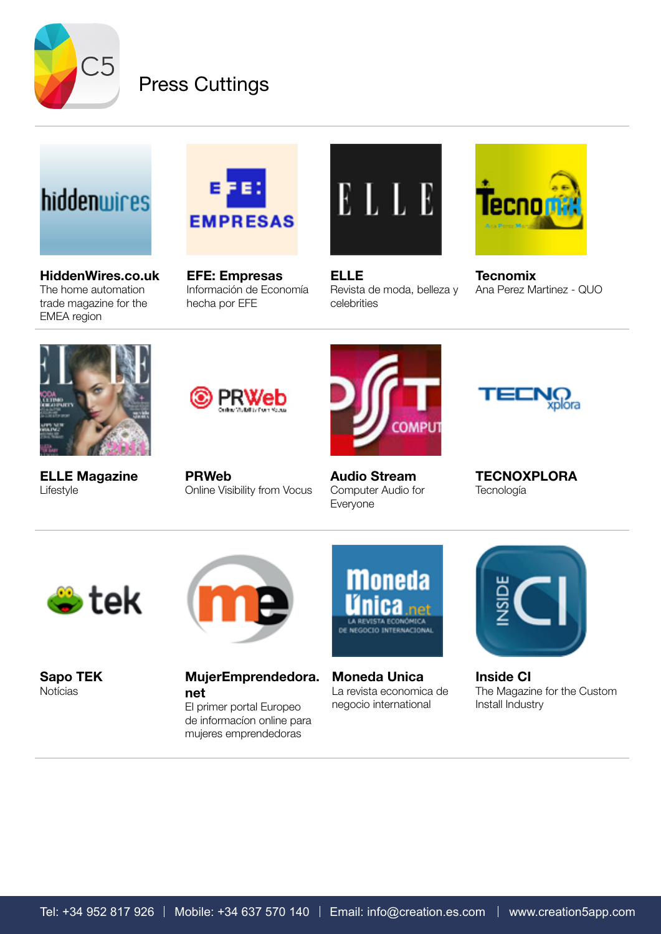

### Press Cuttings

# hiddenwires

[HiddenWires.co.uk](http://hiddenwires.co.uk/2014/creation-offers-dlna-app-with-youtube-integration/) [The home automation](http://hiddenwires.co.uk/2014/creation-offers-dlna-app-with-youtube-integration/)  [trade magazine for the](http://hiddenwires.co.uk/2014/creation-offers-dlna-app-with-youtube-integration/)  [EMEA region](http://hiddenwires.co.uk/2014/creation-offers-dlna-app-with-youtube-integration/)



[EFE: Empresas](http://www.efeempresas.com/noticia/creation-5-la-aplicacion-musical-que-suma-30-000-descargas-en-el-app-store/) [Información de Economía](http://www.efeempresas.com/noticia/creation-5-la-aplicacion-musical-que-suma-30-000-descargas-en-el-app-store/)  [hecha por EFE](http://www.efeempresas.com/noticia/creation-5-la-aplicacion-musical-que-suma-30-000-descargas-en-el-app-store/)



[ELLE](http://www.elle.es/lo-mas-elle/ocio/musica-novedades-para-2014) [Revista de moda, belleza y](http://www.elle.es/lo-mas-elle/ocio/musica-novedades-para-2014)  [celebrities](http://www.elle.es/lo-mas-elle/ocio/musica-novedades-para-2014)



**[Tecnomix](http://tecnomix.blogs.quo.es/wp-login.php%3Fredirect_to%3D%252F2013%252F12%252F27%252Fmedia-player-para-sibaritas%252F)** [Ana Perez Martinez - QUO](http://tecnomix.blogs.quo.es/wp-login.php%3Fredirect_to%3D%252F2013%252F12%252F27%252Fmedia-player-para-sibaritas%252F)



[ELLE Magazine](http://www.creation.com.es/dealers/creation5-elle.pdf) [Lifestyle](http://www.creation.com.es/dealers/creation5-elle.pdf)



[PRWeb](http://www.prweb.com/releases/appshout/creation-5/prweb11072482.htm) [Online Visibility from Vocus](http://www.prweb.com/releases/appshout/creation-5/prweb11072482.htm)



[Audio Stream](http://www.audiostream.com/content/creation-5-media-app-iphone-ipad) [Computer Audio for](http://www.audiostream.com/content/creation-5-media-app-iphone-ipad)  [Everyone](http://www.audiostream.com/content/creation-5-media-app-iphone-ipad)



**[TECNOXPLORA](http://www.tecnoxplora.com/internet/industria-cultural-que-nube-llevo_2014011500258.html) [Tecnología](http://www.tecnoxplora.com/internet/industria-cultural-que-nube-llevo_2014011500258.html)** 



[Sapo TEK](http://tek.sapo.pt/tek_mobile/ios/creation_5_junta_e_organiza_ficheiros_de_medi_1361942.html) [Notícias](http://tek.sapo.pt/tek_mobile/ios/creation_5_junta_e_organiza_ficheiros_de_medi_1361942.html)

[MujerEmprendedora.](http://mujeremprendedora.net/2014/01/10/aplicacion-musical-creation-5-descargas-app/) [net](http://mujeremprendedora.net/2014/01/10/aplicacion-musical-creation-5-descargas-app/)

[El primer portal Europeo](http://mujeremprendedora.net/2014/01/10/aplicacion-musical-creation-5-descargas-app/)  [de informacíon online para](http://mujeremprendedora.net/2014/01/10/aplicacion-musical-creation-5-descargas-app/)  [mujeres emprendedoras](http://mujeremprendedora.net/2014/01/10/aplicacion-musical-creation-5-descargas-app/)



[Moneda Unica](http://revista.monedaunica.net/empresas/5315-la-aplicacion-espanola-creation-5-ya-suma-mas-de-30000-descargas-en-el-app-store.html) [La revista economica de](http://revista.monedaunica.net/empresas/5315-la-aplicacion-espanola-creation-5-ya-suma-mas-de-30000-descargas-en-el-app-store.html)  [negocio international](http://revista.monedaunica.net/empresas/5315-la-aplicacion-espanola-creation-5-ya-suma-mas-de-30000-descargas-en-el-app-store.html)



[Inside CI](http://www.insideci.co.uk/news/creation-dlna-app-boasts-youtube-integration.aspx) [The Magazine for the Custom](http://www.insideci.co.uk/news/creation-dlna-app-boasts-youtube-integration.aspx)  [Install Industry](http://www.insideci.co.uk/news/creation-dlna-app-boasts-youtube-integration.aspx)